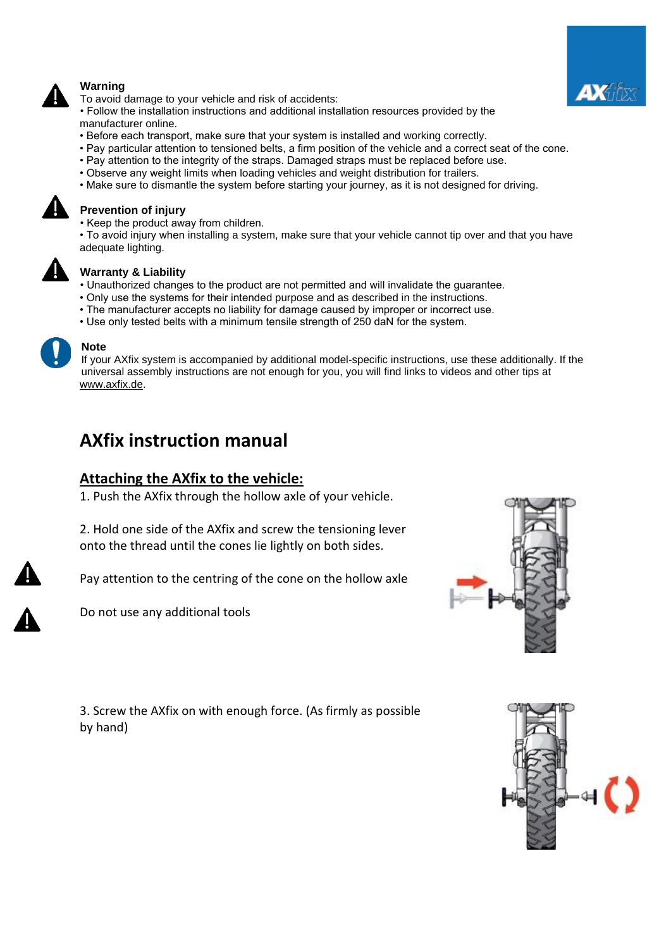

### **Warning**

To avoid damage to your vehicle and risk of accidents:

• Follow the installation instructions and additional installation resources provided by the manufacturer online.

- Before each transport, make sure that your system is installed and working correctly.
- Pay particular attention to tensioned belts, a firm position of the vehicle and a correct seat of the cone.
- Pay attention to the integrity of the straps. Damaged straps must be replaced before use.
- Observe any weight limits when loading vehicles and weight distribution for trailers.
- Make sure to dismantle the system before starting your journey, as it is not designed for driving.



### **Prevention of injury**

• Keep the product away from children.

• To avoid injury when installing a system, make sure that your vehicle cannot tip over and that you have adequate lighting.



#### **Warranty & Liability**

- Unauthorized changes to the product are not permitted and will invalidate the guarantee.
- Only use the systems for their intended purpose and as described in the instructions.
- The manufacturer accepts no liability for damage caused by improper or incorrect use.
- Use only tested belts with a minimum tensile strength of 250 daN for the system.



#### **Note**

If your AXfix system is accompanied by additional model-specific instructions, use these additionally. If the universal assembly instructions are not enough for you, you will find links to videos and other tips at [www.axfix.de.](http://www.axfix.de/)

# **AXfix instruction manual**

### **Attaching the AXfix to the vehicle:**

1. Push the AXfix through the hollow axle of your vehicle.

2. Hold one side of the AXfix and screw the tensioning lever onto the thread until the cones lie lightly on both sides.

Pay attention to the centring of the cone on the hollow axle

Do not use any additional tools



3. Screw the AXfix on with enough force. (As firmly as possible by hand)